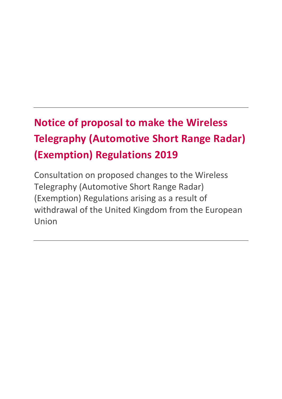# **Notice of proposal to make the Wireless Telegraphy (Automotive Short Range Radar) (Exemption) Regulations 2019**

Consultation on proposed changes to the Wireless Telegraphy (Automotive Short Range Radar) (Exemption) Regulations arising as a result of withdrawal of the United Kingdom from the European Union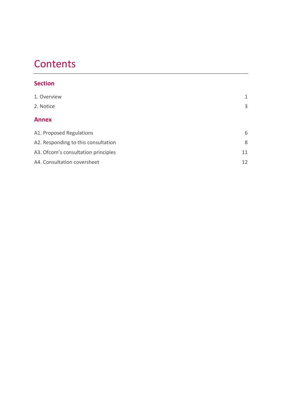# **Contents**

### **Section**

| 1. Overview                         | 1  |
|-------------------------------------|----|
| 2. Notice                           | 3  |
| <b>Annex</b>                        |    |
| A1. Proposed Regulations            | 6  |
| A2. Responding to this consultation | 8  |
| A3. Ofcom's consultation principles | 11 |
| A4. Consultation coversheet         | 12 |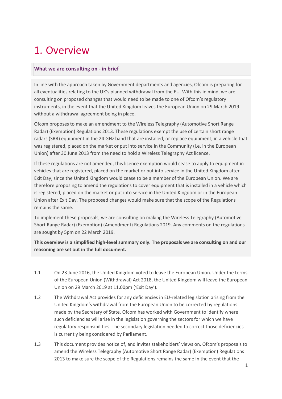# <span id="page-2-0"></span>1. Overview

#### **What we are consulting on - in brief**

In line with the approach taken by Government departments and agencies, Ofcom is preparing for all eventualities relating to the UK's planned withdrawal from the EU. With this in mind, we are consulting on proposed changes that would need to be made to one of Ofcom's regulatory instruments, in the event that the United Kingdom leaves the European Union on 29 March 2019 without a withdrawal agreement being in place.

Ofcom proposes to make an amendment to the Wireless Telegraphy (Automotive Short Range Radar) (Exemption) Regulations 2013. These regulations exempt the use of certain short range radars (SRR) equipment in the 24 GHz band that are installed, or replace equipment, in a vehicle that was registered, placed on the market or put into service in the Community (i.e. in the European Union) after 30 June 2013 from the need to hold a Wireless Telegraphy Act licence.

If these regulations are not amended, this licence exemption would cease to apply to equipment in vehicles that are registered, placed on the market or put into service in the United Kingdom after Exit Day, since the United Kingdom would cease to be a member of the European Union. We are therefore proposing to amend the regulations to cover equipment that is installed in a vehicle which is registered, placed on the market or put into service in the United Kingdom or in the European Union after Exit Day. The proposed changes would make sure that the scope of the Regulations remains the same.

To implement these proposals, we are consulting on making the Wireless Telegraphy (Automotive Short Range Radar) (Exemption) (Amendment) Regulations 2019. Any comments on the regulations are sought by 5pm on 22 March 2019.

**This overview is a simplified high-level summary only. The proposals we are consulting on and our reasoning are set out in the full document.**

- 1.1 On 23 June 2016, the United Kingdom voted to leave the European Union. Under the terms of the European Union (Withdrawal) Act 2018, the United Kingdom will leave the European Union on 29 March 2019 at 11.00pm ('Exit Day').
- 1.2 The Withdrawal Act provides for any deficiencies in EU-related legislation arising from the United Kingdom's withdrawal from the European Union to be corrected by regulations made by the Secretary of State. Ofcom has worked with Government to identify where such deficiencies will arise in the legislation governing the sectors for which we have regulatory responsibilities. The secondary legislation needed to correct those deficiencies is currently being considered by Parliament.
- 1.3 This document provides notice of, and invites stakeholders' views on, Ofcom's proposals to amend the Wireless Telegraphy (Automotive Short Range Radar) (Exemption) Regulations 2013 to make sure the scope of the Regulations remains the same in the event that the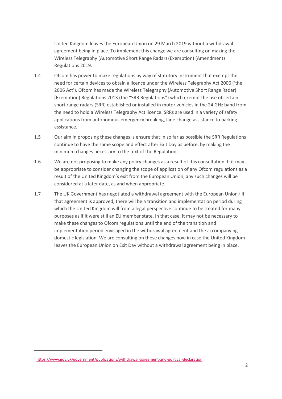United Kingdom leaves the European Union on 29 March 2019 without a withdrawal agreement being in place. To implement this change we are consulting on making the Wireless Telegraphy (Automotive Short Range Radar) (Exemption) (Amendment) Regulations 2019.

- 1.4 Ofcom has power to make regulations by way of statutory instrument that exempt the need for certain devices to obtain a licence under the Wireless Telegraphy Act 2006 ('the 2006 Act'). Ofcom has made the Wireless Telegraphy (Automotive Short Range Radar) (Exemption) Regulations 2013 (the "SRR Regulations") which exempt the use of certain short range radars (SRR) established or installed in motor vehicles in the 24 GHz band from the need to hold a Wireless Telegraphy Act licence. SRRs are used in a variety of safety applications from autonomous emergency breaking, lane change assistance to parking assistance.
- 1.5 Our aim in proposing these changes is ensure that in so far as possible the SRR Regulations continue to have the same scope and effect after Exit Day as before, by making the minimum changes necessary to the text of the Regulations.
- 1.6 We are not proposing to make any policy changes as a result of this consultation. If it may be appropriate to consider changing the scope of application of any Ofcom regulations as a result of the United Kingdom's exit from the European Union, any such changes will be considered at a later date, as and when appropriate.
- 1.7 The UK Government has negotiated a withdrawal agreement with the European Union.<sup>1</sup> If that agreement is approved, there will be a transition and implementation period during which the United Kingdom will from a legal perspective continue to be treated for many purposes as if it were still an EU member state. In that case, it may not be necessary to make these changes to Ofcom regulations until the end of the transition and implementation period envisaged in the withdrawal agreement and the accompanying domestic legislation. We are consulting on these changes now in case the United Kingdom leaves the European Union on Exit Day without a withdrawal agreement being in place.

 $\overline{a}$ 

<sup>1</sup> <https://www.gov.uk/government/publications/withdrawal-agreement-and-political-declaration>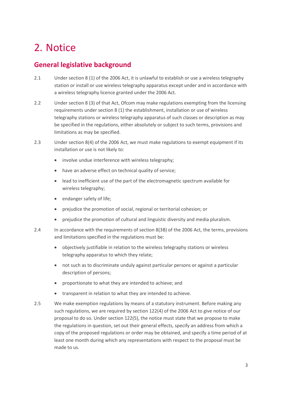# <span id="page-4-0"></span>2. Notice

# **General legislative background**

- 2.1 Under section 8 (1) of the 2006 Act, it is unlawful to establish or use a wireless telegraphy station or install or use wireless telegraphy apparatus except under and in accordance with a wireless telegraphy licence granted under the 2006 Act.
- 2.2 Under section 8 (3) of that Act, Ofcom may make regulations exempting from the licensing requirements under section 8 (1) the establishment, installation or use of wireless telegraphy stations or wireless telegraphy apparatus of such classes or description as may be specified in the regulations, either absolutely or subject to such terms, provisions and limitations as may be specified.
- 2.3 Under section 8(4) of the 2006 Act, we must make regulations to exempt equipment if its installation or use is not likely to:
	- involve undue interference with wireless telegraphy;
	- have an adverse effect on technical quality of service;
	- lead to inefficient use of the part of the electromagnetic spectrum available for wireless telegraphy;
	- endanger safety of life;
	- prejudice the promotion of social, regional or territorial cohesion; or
	- prejudice the promotion of cultural and linguistic diversity and media pluralism.
- 2.4 In accordance with the requirements of section 8(3B) of the 2006 Act, the terms, provisions and limitations specified in the regulations must be:
	- objectively justifiable in relation to the wireless telegraphy stations or wireless telegraphy apparatus to which they relate;
	- not such as to discriminate unduly against particular persons or against a particular description of persons;
	- proportionate to what they are intended to achieve; and
	- transparent in relation to what they are intended to achieve.
- 2.5 We make exemption regulations by means of a statutory instrument. Before making any such regulations, we are required by section 122(4) of the 2006 Act to give notice of our proposal to do so. Under section 122(5), the notice must state that we propose to make the regulations in question, set out their general effects, specify an address from which a copy of the proposed regulations or order may be obtained, and specify a time period of at least one month during which any representations with respect to the proposal must be made to us.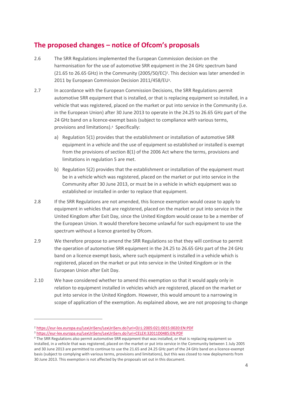# **The proposed changes – notice of Ofcom's proposals**

- 2.6 The SRR Regulations implemented the European Commission decision on the harmonisation for the use of automotive SRR equipment in the 24 GHz spectrum band (21.65 to 26.65 GHz) in the Community (2005/50/EC)<sup>2</sup> . This decision was later amended in 2011 by European Commission Decision 2011/458/EU<sup>3</sup> .
- 2.7 In accordance with the European Commission Decisions, the SRR Regulations permit automotive SRR equipment that is installed, or that is replacing equipment so installed, in a vehicle that was registered, placed on the market or put into service in the Community (i.e. in the European Union) after 30 June 2013 to operate in the 24.25 to 26.65 GHz part of the 24 GHz band on a licence-exempt basis (subject to compliance with various terms, provisions and limitations).<sup>4</sup> Specifically:
	- a) Regulation 5(1) provides that the establishment or installation of automotive SRR equipment in a vehicle and the use of equipment so established or installed is exempt from the provisions of section 8(1) of the 2006 Act where the terms, provisions and limitations in regulation 5 are met.
	- b) Regulation 5(2) provides that the establishment or installation of the equipment must be in a vehicle which was registered, placed on the market or put into service in the Community after 30 June 2013, or must be in a vehicle in which equipment was so established or installed in order to replace that equipment.
- 2.8 If the SRR Regulations are not amended, this licence exemption would cease to apply to equipment in vehicles that are registered, placed on the market or put into service in the United Kingdom after Exit Day, since the United Kingdom would cease to be a member of the European Union. It would therefore become unlawful for such equipment to use the spectrum without a licence granted by Ofcom.
- 2.9 We therefore propose to amend the SRR Regulations so that they will continue to permit the operation of automotive SRR equipment in the 24.25 to 26.65 GHz part of the 24 GHz band on a licence exempt basis, where such equipment is installed in a vehicle which is registered, placed on the market or put into service in the United Kingdom or in the European Union after Exit Day.
- 2.10 We have considered whether to amend this exemption so that it would apply only in relation to equipment installed in vehicles which are registered, placed on the market or put into service in the United Kingdom. However, this would amount to a narrowing in scope of application of the exemption. As explained above, we are not proposing to change

 $\overline{a}$ 

<sup>2</sup> <https://eur-lex.europa.eu/LexUriServ/LexUriServ.do?uri=OJ:L:2005:021:0015:0020:EN:PDF>

<sup>3</sup> <https://eur-lex.europa.eu/LexUriServ/LexUriServ.do?uri=CELEX:32011D0485:EN:PDF>

<sup>4</sup> The SRR Regulations also permit automotive SRR equipment that was installed, or that is replacing equipment so installed, in a vehicle that was registered, placed on the market or put into service in the Community between 1 July 2005 and 30 June 2013 are permitted to continue to use the 21.65 and 24.25 GHz part of the 24 GHz band on a licence-exempt basis (subject to complying with various terms, provisions and limitations), but this was closed to new deployments from 30 June 2013. This exemption is not affected by the proposals set out in this document.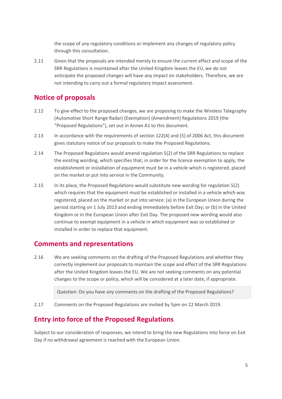the scope of any regulatory conditions or implement any changes of regulatory policy through this consultation.

2.11 Given that the proposals are intended merely to ensure the current effect and scope of the SRR Regulations is maintained after the United Kingdom leaves the EU, we do not anticipate the proposed changes will have any impact on stakeholders. Therefore, we are not intending to carry out a formal regulatory impact assessment.

# **Notice of proposals**

- 2.12 To give effect to the proposed changes, we are proposing to make the Wireless Telegraphy (Automotive Short Range Radar) (Exemption) (Amendment) Regulations 2019 (the "Proposed Regulations"), set out in Annex A1 to this document.
- 2.13 In accordance with the requirements of section 122(4) and (5) of 2006 Act, this document gives statutory notice of our proposals to make the Proposed Regulations.
- 2.14 The Proposed Regulations would amend regulation 5(2) of the SRR Regulations to replace the existing wording, which specifies that, in order for the licence exemption to apply, the establishment or installation of equipment must be in a vehicle which is registered, placed on the market or put into service in the Community.
- 2.15 In its place, the Proposed Regulations would substitute new wording for regulation 5(2) which requires that the equipment must be established or installed in a vehicle which was registered, placed on the market or put into service: (a) in the European Union during the period starting on 1 July 2013 and ending immediately before Exit Day; or (b) in the United Kingdom or in the European Union after Exit Day. The proposed new wording would also continue to exempt equipment in a vehicle in which equipment was so established or installed in order to replace that equipment.

### **Comments and representations**

2.16 We are seeking comments on the drafting of the Proposed Regulations and whether they correctly implement our proposals to maintain the scope and effect of the SRR Regulations after the United Kingdom leaves the EU. We are not seeking comments on any potential changes to the scope or policy, which will be considered at a later date, if appropriate.

Question: Do you have any comments on the drafting of the Proposed Regulations?

2.17 Comments on the Proposed Regulations are invited by 5pm on 22 March 2019.

# **Entry into force of the Proposed Regulations**

Subject to our consideration of responses, we intend to bring the new Regulations into force on Exit Day if no withdrawal agreement is reached with the European Union.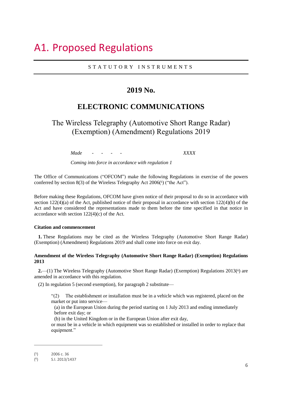# <span id="page-7-0"></span>A1. Proposed Regulations

#### S T A T U T O R Y I N S T R U M E N T S

#### **2019 No.**

### **ELECTRONIC COMMUNICATIONS**

The Wireless Telegraphy (Automotive Short Range Radar) (Exemption) (Amendment) Regulations 2019

*Made - - - - XXXX*

*Coming into force in accordance with regulation 1*

The Office of Communications ("OFCOM") make the following Regulations in exercise of the powers conferred by section 8(3) of the Wireless Telegraphy Act 2006(5) ("the Act").

Before making these Regulations, OFCOM have given notice of their proposal to do so in accordance with section 122(4)(a) of the Act, published notice of their proposal in accordance with section 122(4)(b) of the Act and have considered the representations made to them before the time specified in that notice in accordance with section 122(4)(c) of the Act.

#### **Citation and commencement**

**1.** These Regulations may be cited as the Wireless Telegraphy (Automotive Short Range Radar) (Exemption) (Amendment) Regulations 2019 and shall come into force on exit day.

#### **Amendment of the Wireless Telegraphy (Automotive Short Range Radar) (Exemption) Regulations 2013**

2.—(1) The Wireless Telegraphy (Automotive Short Range Radar) (Exemption) Regulations 2013(<sup>6</sup>) are amended in accordance with this regulation.

(2) In regulation 5 (second exemption), for paragraph 2 substitute—

- "(2) The establishment or installation must be in a vehicle which was registered, placed on the market or put into service—
	- (a) in the European Union during the period starting on 1 July 2013 and ending immediately before exit day; or

(b) in the United Kingdom or in the European Union after exit day,

or must be in a vehicle in which equipment was so established or installed in order to replace that equipment."

 $\overline{a}$ 

<sup>(</sup> 5 ) 2006 c. 36

<sup>(</sup> 6 ) S.I. 2013/1437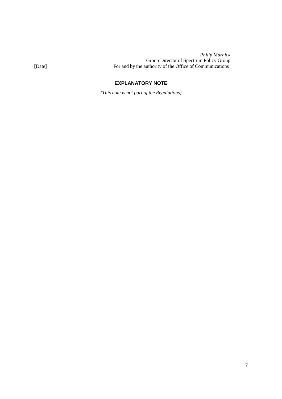*Philip Marnick* Group Director of Spectrum Policy Group [Date] For and by the authority of the Office of Communications

#### **EXPLANATORY NOTE**

*(This note is not part of the Regulations)*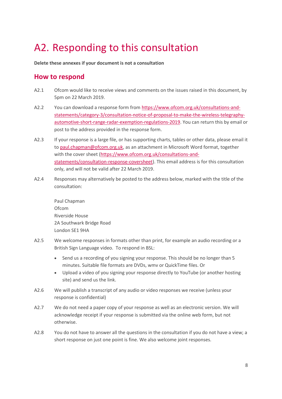# <span id="page-9-0"></span>A2. Responding to this consultation

**Delete these annexes if your document is not a consultation**

### **How to respond**

- A2.1 Ofcom would like to receive views and comments on the issues raised in this document, by 5pm on 22 March 2019.
- A2.2 You can download a response form from [https://www.ofcom.org.uk/consultations-and](https://www.ofcom.org.uk/consultations-and-statements/category-3/consultation-notice-of-proposal-to-make-the-wireless-telegraphy-automotive-short-range-radar-exemption-regulations-2019)[statements/category-3/consultation-notice-of-proposal-to-make-the-wireless-telegraphy](https://www.ofcom.org.uk/consultations-and-statements/category-3/consultation-notice-of-proposal-to-make-the-wireless-telegraphy-automotive-short-range-radar-exemption-regulations-2019)[automotive-short-range-radar-exemption-regulations-2019.](https://www.ofcom.org.uk/consultations-and-statements/category-3/consultation-notice-of-proposal-to-make-the-wireless-telegraphy-automotive-short-range-radar-exemption-regulations-2019) You can return this by email or post to the address provided in the response form.
- A2.3 If your response is a large file, or has supporting charts, tables or other data, please email it t[o paul.chapman@ofcom.org.uk,](mailto:paul.chapman@ofcom.org.uk) as an attachment in Microsoft Word format, together with the cover sheet [\(https://www.ofcom.org.uk/consultations-and](https://www.ofcom.org.uk/consultations-and-statements/consultation-response-coversheet)[statements/consultation-response-coversheet\)](https://www.ofcom.org.uk/consultations-and-statements/consultation-response-coversheet). This email address is for this consultation only, and will not be valid after 22 March 2019.
- A2.4 Responses may alternatively be posted to the address below, marked with the title of the consultation:

Paul Chapman Ofcom Riverside House 2A Southwark Bridge Road London SE1 9HA

- A2.5 We welcome responses in formats other than print, for example an audio recording or a British Sign Language video. To respond in BSL:
	- Send us a recording of you signing your response. This should be no longer than 5 minutes. Suitable file formats are DVDs, wmv or QuickTime files. Or
	- Upload a video of you signing your response directly to YouTube (or another hosting site) and send us the link.
- A2.6 We will publish a transcript of any audio or video responses we receive (unless your response is confidential)
- A2.7 We do not need a paper copy of your response as well as an electronic version. We will acknowledge receipt if your response is submitted via the online web form, but not otherwise.
- A2.8 You do not have to answer all the questions in the consultation if you do not have a view; a short response on just one point is fine. We also welcome joint responses.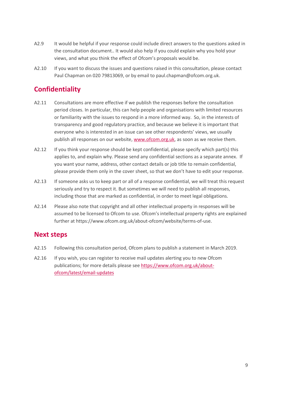- A2.9 It would be helpful if your response could include direct answers to the questions asked in the consultation document.. It would also help if you could explain why you hold your views, and what you think the effect of Ofcom's proposals would be.
- A2.10 If you want to discuss the issues and questions raised in this consultation, please contact Paul Chapman on 020 79813069, or by email to paul.chapman@ofcom.org.uk.

# **Confidentiality**

- A2.11 Consultations are more effective if we publish the responses before the consultation period closes. In particular, this can help people and organisations with limited resources or familiarity with the issues to respond in a more informed way. So, in the interests of transparency and good regulatory practice, and because we believe it is important that everyone who is interested in an issue can see other respondents' views, we usually publish all responses on our website, [www.ofcom.org.uk,](http://www.ofcom.org.uk/) as soon as we receive them.
- A2.12 If you think your response should be kept confidential, please specify which part(s) this applies to, and explain why. Please send any confidential sections as a separate annex. If you want your name, address, other contact details or job title to remain confidential, please provide them only in the cover sheet, so that we don't have to edit your response.
- A2.13 If someone asks us to keep part or all of a response confidential, we will treat this request seriously and try to respect it. But sometimes we will need to publish all responses, including those that are marked as confidential, in order to meet legal obligations.
- A2.14 Please also note that copyright and all other intellectual property in responses will be assumed to be licensed to Ofcom to use. Ofcom's intellectual property rights are explained further at https://www.ofcom.org.uk/about-ofcom/website/terms-of-use.

### **Next steps**

- A2.15 Following this consultation period, Ofcom plans to publish a statement in March 2019.
- A2.16 If you wish, you can register to receive mail updates alerting you to new Ofcom publications; for more details please se[e https://www.ofcom.org.uk/about](https://www.ofcom.org.uk/about-ofcom/latest/email-updates)[ofcom/latest/email-updates](https://www.ofcom.org.uk/about-ofcom/latest/email-updates)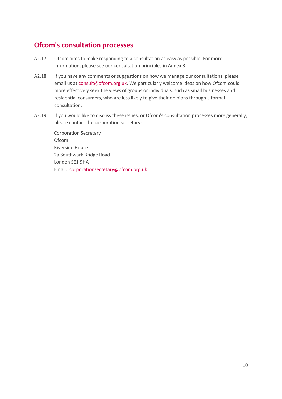# **Ofcom's consultation processes**

- A2.17 Ofcom aims to make responding to a consultation as easy as possible. For more information, please see our consultation principles in Annex 3.
- A2.18 If you have any comments or suggestions on how we manage our consultations, please email us a[t consult@ofcom.org.uk.](mailto:consult@ofcom.org.uk) We particularly welcome ideas on how Ofcom could more effectively seek the views of groups or individuals, such as small businesses and residential consumers, who are less likely to give their opinions through a formal consultation.
- A2.19 If you would like to discuss these issues, or Ofcom's consultation processes more generally, please contact the corporation secretary:

Corporation Secretary Ofcom Riverside House 2a Southwark Bridge Road London SE1 9HA Email: [corporationsecretary@ofcom.org.uk](mailto:corporationsecretary@ofcom.org.uk)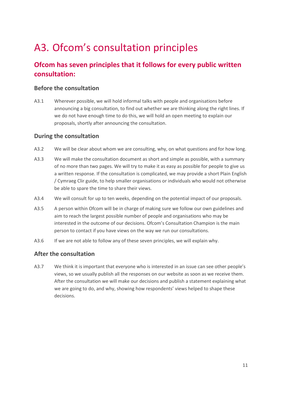# <span id="page-12-0"></span>A3. Ofcom's consultation principles

# **Ofcom has seven principles that it follows for every public written consultation:**

#### **Before the consultation**

A3.1 Wherever possible, we will hold informal talks with people and organisations before announcing a big consultation, to find out whether we are thinking along the right lines. If we do not have enough time to do this, we will hold an open meeting to explain our proposals, shortly after announcing the consultation.

#### **During the consultation**

- A3.2 We will be clear about whom we are consulting, why, on what questions and for how long.
- A3.3 We will make the consultation document as short and simple as possible, with a summary of no more than two pages. We will try to make it as easy as possible for people to give us a written response. If the consultation is complicated, we may provide a short Plain English / Cymraeg Clir guide, to help smaller organisations or individuals who would not otherwise be able to spare the time to share their views.
- A3.4 We will consult for up to ten weeks, depending on the potential impact of our proposals.
- A3.5 A person within Ofcom will be in charge of making sure we follow our own guidelines and aim to reach the largest possible number of people and organisations who may be interested in the outcome of our decisions. Ofcom's Consultation Champion is the main person to contact if you have views on the way we run our consultations.
- A3.6 If we are not able to follow any of these seven principles, we will explain why.

#### **After the consultation**

A3.7 We think it is important that everyone who is interested in an issue can see other people's views, so we usually publish all the responses on our website as soon as we receive them. After the consultation we will make our decisions and publish a statement explaining what we are going to do, and why, showing how respondents' views helped to shape these decisions.